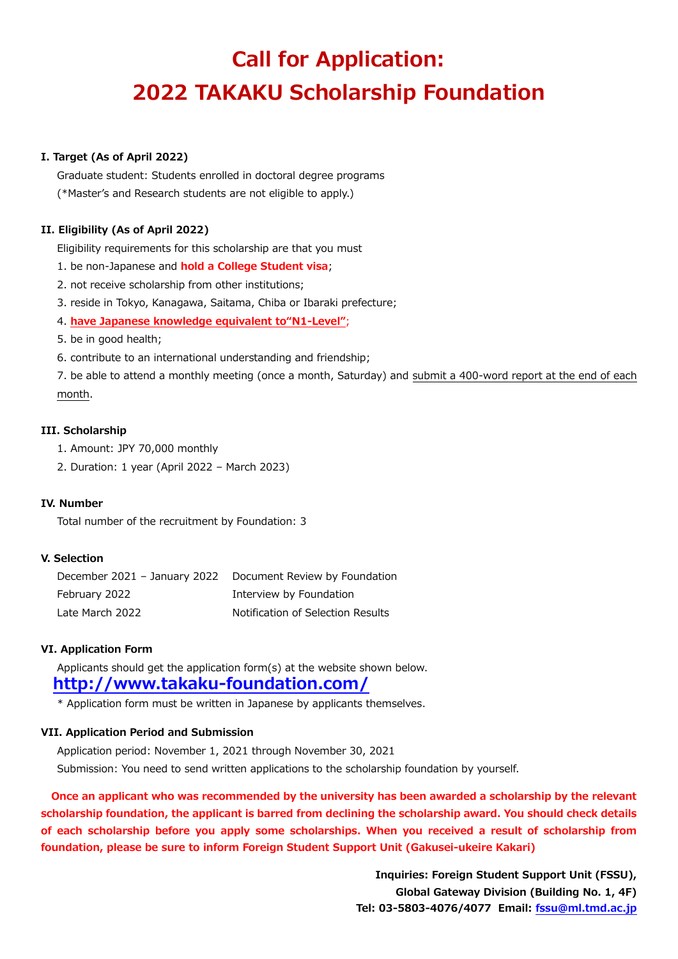# **Call for Application: 2022 TAKAKU Scholarship Foundation**

#### **I. Target (As of April 2022)**

Graduate student: Students enrolled in doctoral degree programs (\*Master's and Research students are not eligible to apply.)

#### **II. Eligibility (As of April 2022)**

Eligibility requirements for this scholarship are that you must

1. be non-Japanese and **hold a College Student visa**;

2. not receive scholarship from other institutions;

3. reside in Tokyo, Kanagawa, Saitama, Chiba or Ibaraki prefecture;

4. **have Japanese knowledge equivalent to"N1-Level"**;

- 5. be in good health;
- 6. contribute to an international understanding and friendship;

7. be able to attend a monthly meeting (once a month, Saturday) and submit a 400-word report at the end of each month.

#### **III. Scholarship**

- 1. Amount: JPY 70,000 monthly
- 2. Duration: 1 year (April 2022 March 2023)

#### **IV. Number**

Total number of the recruitment by Foundation: 3

#### **V. Selection**

December 2021 – January 2022 Document Review by Foundation February 2022 **Interview by Foundation** Late March 2022 Notification of Selection Results

#### **VI. Application Form**

Applicants should get the application form(s) at the website shown below. **<http://www.takaku-foundation.com/>**

\* Application form must be written in Japanese by applicants themselves.

#### **VII. Application Period and Submission**

Application period: November 1, 2021 through November 30, 2021 Submission: You need to send written applications to the scholarship foundation by yourself.

 **Once an applicant who was recommended by the university has been awarded a scholarship by the relevant scholarship foundation, the applicant is barred from declining the scholarship award. You should check details of each scholarship before you apply some scholarships. When you received a result of scholarship from foundation, please be sure to inform Foreign Student Support Unit (Gakusei-ukeire Kakari)**

> **Inquiries: Foreign Student Support Unit (FSSU), Global Gateway Division (Building No. 1, 4F) Tel: 03-5803-4076/4077 Email: [fssu@ml.tmd.ac.jp](mailto:fssu@ml.tmd.ac.jp)**